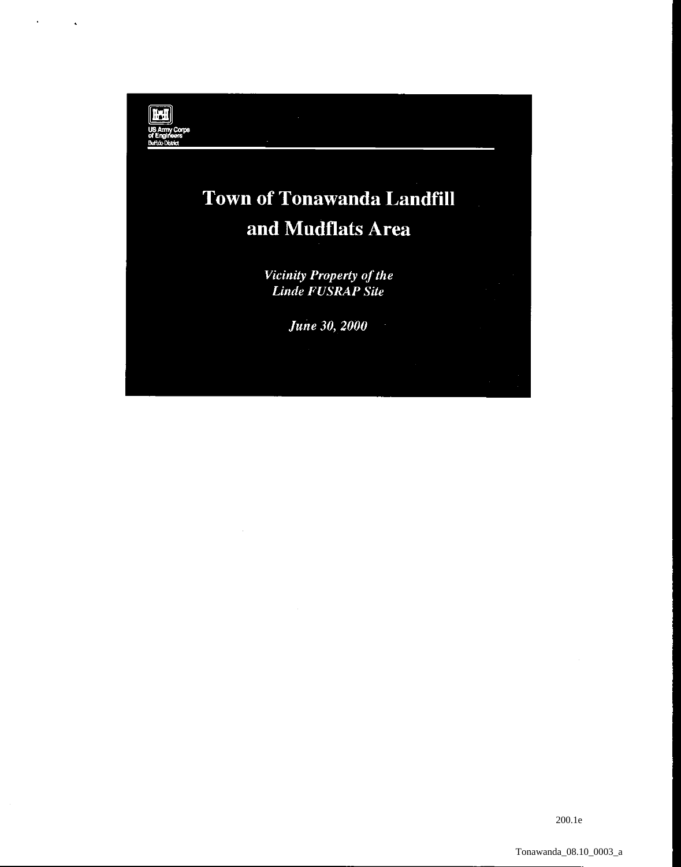

200.1e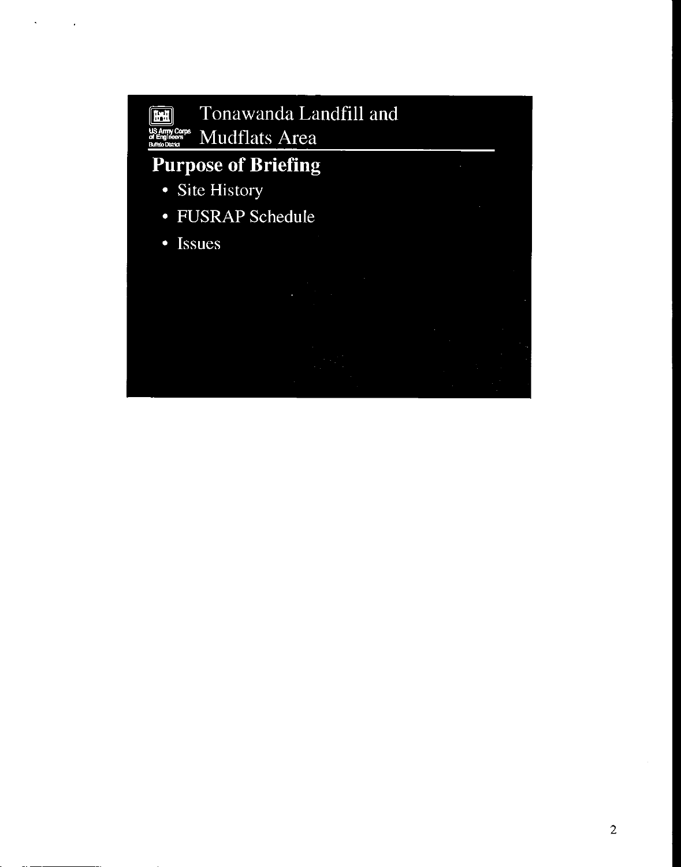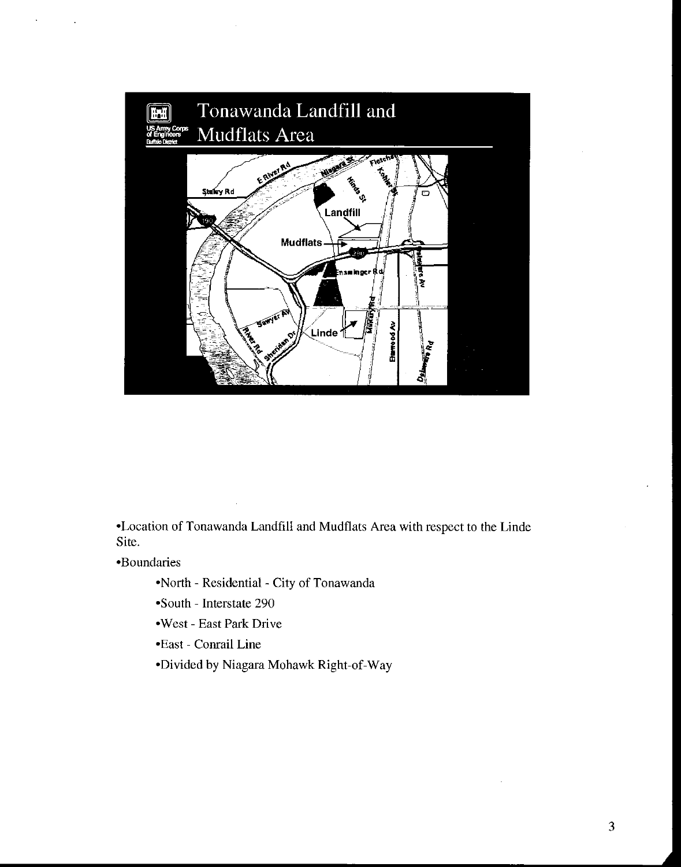

-Location of Tonawanda Landfill and Mudflats Area with respect to the Linde Site.

\*Boundaries

\*North - Residential - City of Tonawanda

- -South Interstate 290
- \*West East Park Drive
- \*East Conrail Line
- \*Divided by Niagara Mohawk Right-of-way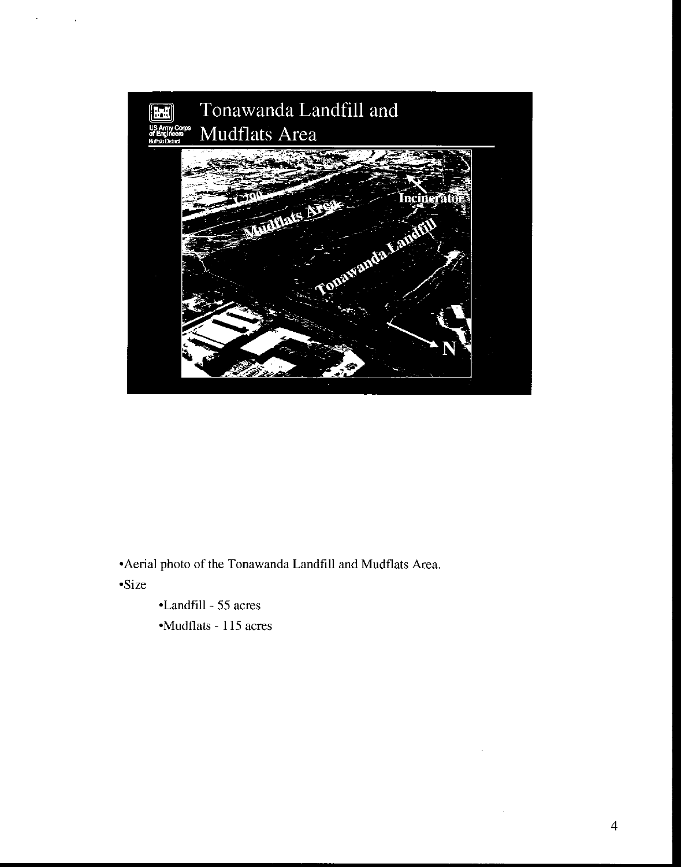

\*Aerial photo of the Tonawanda Landfill and Mudflats Area.

-Size

 $\hat{\mathcal{A}}$ 

 $\sim$   $^{-1}$ 

\*Landfill - 55 acres

\*Mudflats - 115 acres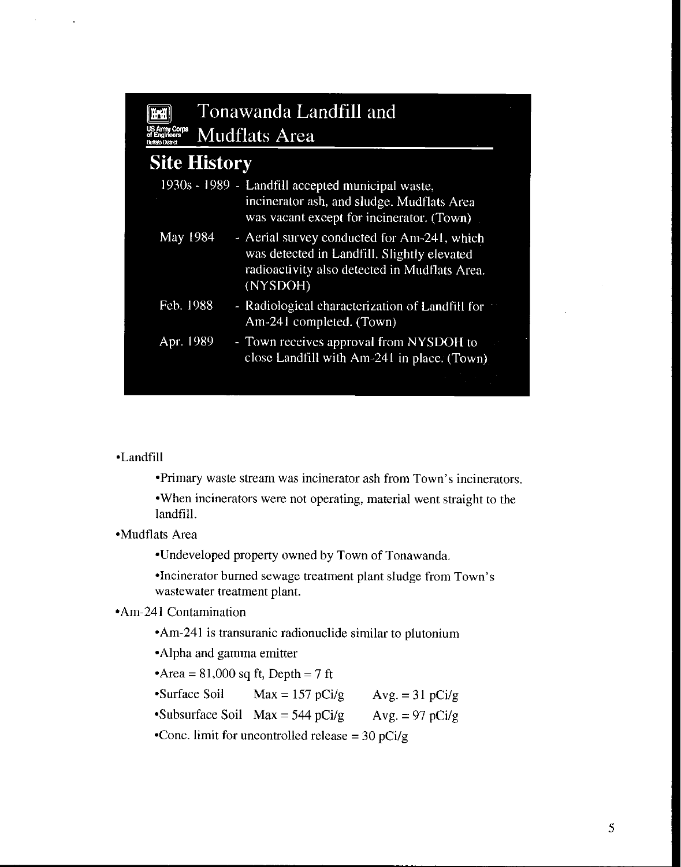#### Tonawanda Landfill and  $\mathbb{H}$ US Army Corps<br>of Engineers Mudflats Area

## **Site History**

|           | 1930s - 1989 - Landfill accepted municipal waste,<br>incinerator ash, and sludge. Mudflats Area<br>was vacant except for incinerator. (Town)            |
|-----------|---------------------------------------------------------------------------------------------------------------------------------------------------------|
| May 1984  | - Aerial survey conducted for Am-241, which<br>was detected in Landfill. Slightly elevated<br>radioactivity also detected in Mudflats Area.<br>(NYSDOH) |
| Feb. 1988 | - Radiological characterization of Landfill for<br>Am-241 completed. (Town)                                                                             |
| Apr. 1989 | - Town receives approval from NYSDOH to<br>close Landfill with $Am-241$ in place. (Town)                                                                |
|           |                                                                                                                                                         |

#### \*Landfill

 $\sim$ 

-Primary waste stream was incinerator ash from Town's incinerators.

\*When incinerators were not operating, material went straight to the landfill.

\*Mudflats Area

\*Undeveloped property owned by Town of Tonawanda.

\*Incinerator burned sewage treatment plant sludge from Town's wastewater treatment plant.

#### \*Am-241 Contamination

\*Am-241 is transuranic radionuclide similar to plutonium

\*Alpha and gamma emitter

 $\text{Area} = 81,000 \text{ sq ft}$ , Depth = 7 ft

•Surface Soil Max =  $157$  pCi/g Avg. =  $31$  pCi/g

•Subsurface Soil Max = 544 pCi/g  $Avg = 97$  pCi/g

\*Cone. limit for uncontrolled release =  $30 \text{ pCi/g}$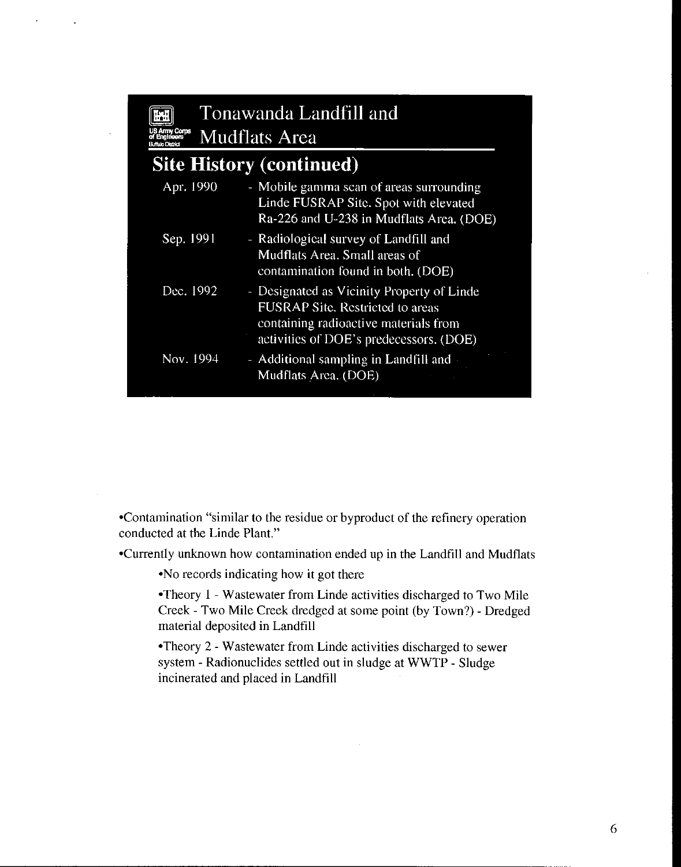| Coms                            |  | Tonawanda Landfill and<br><b>Mudflats Area</b>                                                                                                                            |  |  |  |  |
|---------------------------------|--|---------------------------------------------------------------------------------------------------------------------------------------------------------------------------|--|--|--|--|
| <b>Site History (continued)</b> |  |                                                                                                                                                                           |  |  |  |  |
| Apr. 1990                       |  | - Mobile gamma scan of areas surrounding<br>Linde FUSRAP Site. Spot with elevated<br>Ra-226 and U-238 in Mudflats Area. (DOE)                                             |  |  |  |  |
| Sep. 1991                       |  | - Radiological survey of Landfill and<br>Mudflats Area. Small areas of<br>contamination found in both. (DOE)                                                              |  |  |  |  |
| Dec. 1992                       |  | - Designated as Vicinity Property of Linde<br><b>FUSRAP Site. Restricted to areas</b><br>containing radioactive materials from<br>activities of DOE's predecessors. (DOE) |  |  |  |  |
| Nov. 1994                       |  | - Additional sampling in Landfill and<br>Mudflats Area. (DOE)                                                                                                             |  |  |  |  |

\*Contamination "similar to the residue or byproduct of the refinery operation conducted at the Linde Plant."

\*Currently unknown how contamination ended up in the Landfill and Mudflats

\*No records indicating how it got there

\*Theory 1 - Wastewater from Linde activities discharged to Two Mile Creek - Two Mile Creek dredged at some point (by Town?) - Dredged material deposited in Landfill

\*Theory 2 - Wastewater from Linde activities discharged to sewer system - Radionuclides settled out in sludge at WWTP - Sludge incinerated and placed in Landfill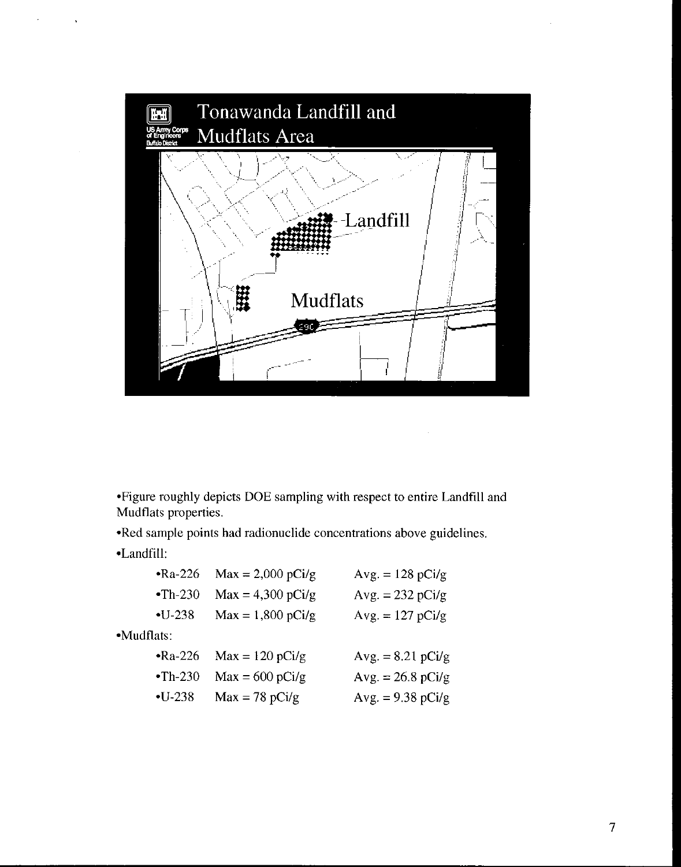

\*Figure roughly depicts DOE sampling with respect to entire Landfill and Mudflats properties.

\*Red sample points had radionuclide concentrations above guidelines.

\*Landfill:

|            | $\cdot$ Ra-226 | $Max = 2,000 pCi/g$ | $Avg. = 128 pCi/g$  |
|------------|----------------|---------------------|---------------------|
|            | $-Th-230$      | $Max = 4,300 pCi/g$ | $Avg. = 232 pCi/g$  |
|            | $-U-238$       | $Max = 1,800$ pCi/g | $Avg. = 127 pCi/g$  |
| •Mudflats: |                |                     |                     |
|            | $Ra-226$       | $Max = 120 pCi/g$   | $Avg. = 8.21$ pCi/g |
|            | $\cdot$ Th-230 | $Max = 600$ pCi/g   | $Avg. = 26.8 pCi/g$ |
|            | $-U-238$       | $Max = 78 pCi/g$    | Avg. = $9.38$ pCi/g |
|            |                |                     |                     |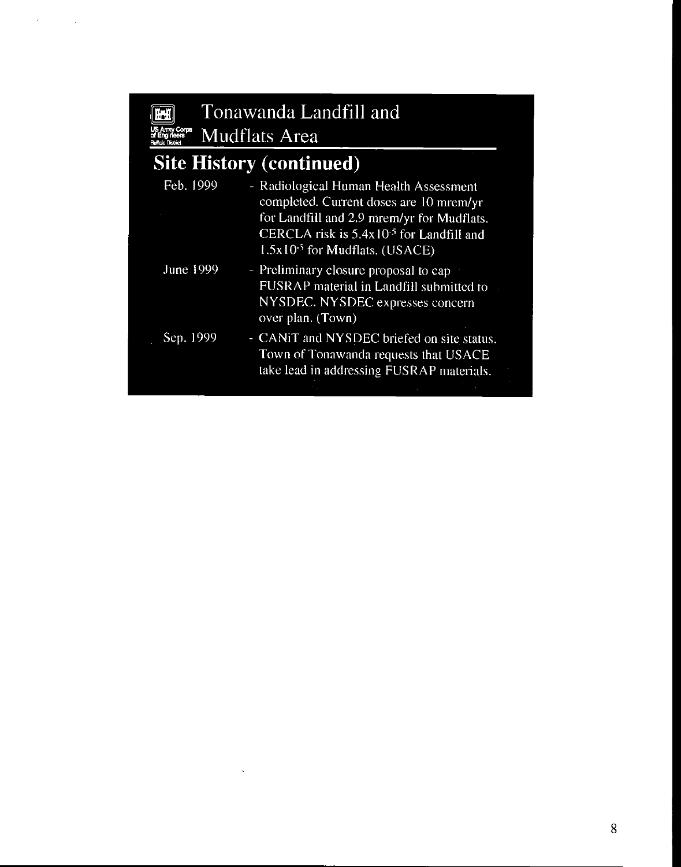$\mathcal{A}^{\text{max}}$ 

# Tonawanda Landfill and Tonawanda La

# **Site History (continued)**

|             | for Landfill and 2.9 mrem/yr for Mudflats.<br>CERCLA risk is $5.4x10^{-5}$ for Landfill and<br>$1.5x10-5$ for Mudflats. (USACE)            |
|-------------|--------------------------------------------------------------------------------------------------------------------------------------------|
| June $1999$ | - Preliminary closure proposal to cap<br>FUSRAP material in Landfill submitted to<br>NYSDEC. NYSDEC expresses concern<br>over plan. (Town) |
| Sep. 1999   | - CANIT and NYSDEC briefed on site status.<br>Town of Tonawanda requests that USACE<br>take lead in addressing FUSRAP materials.           |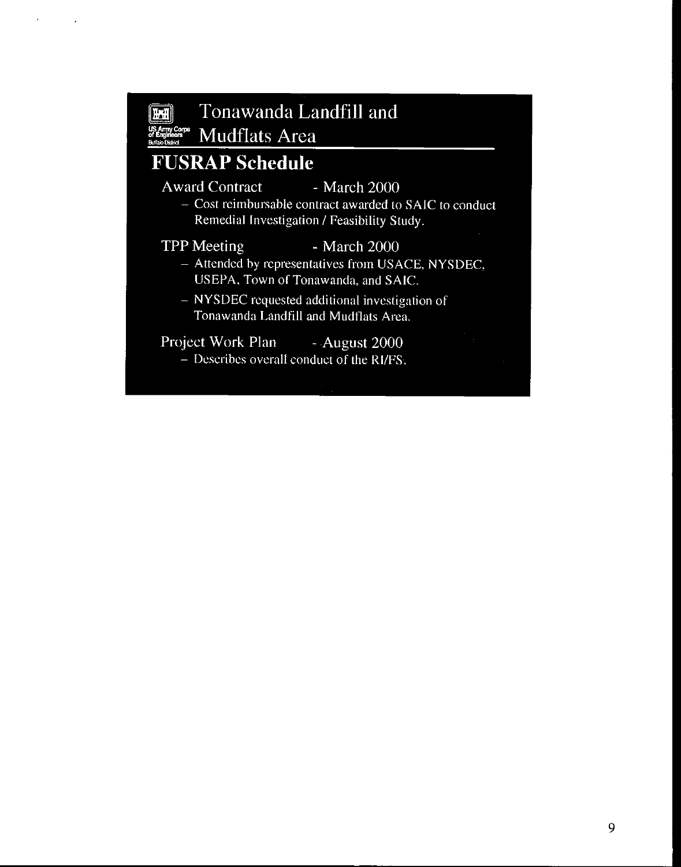

 $\mathbf{r}$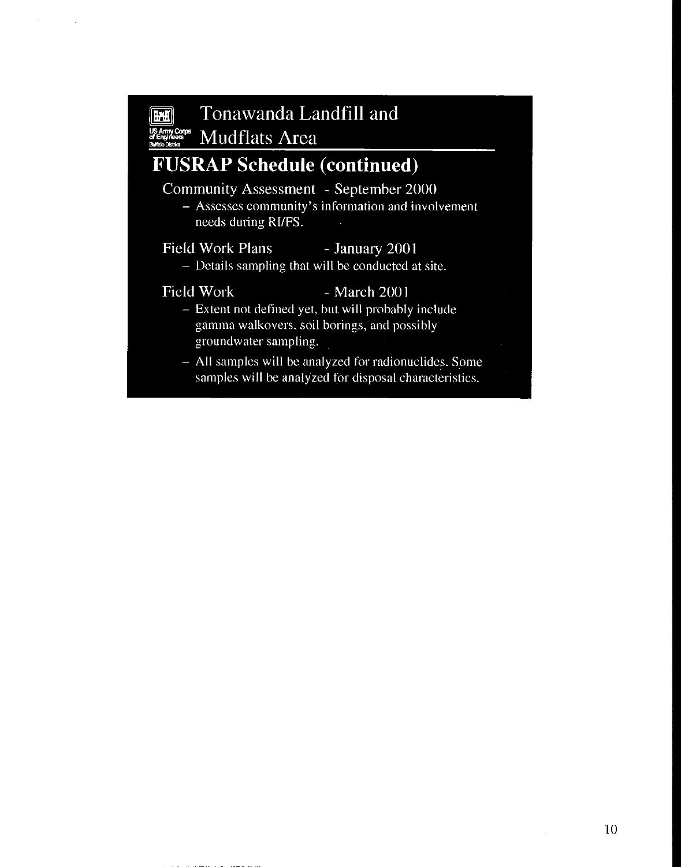#### Tonawanda Landfill and  $\mathbf{H}$

**Mudflats Area** ny Corps<br>inteers

## **FUSRAP Schedule (continued)**

### Community Assessment - September 2000

- Assesses community's information and involvement needs during RI/FS.

#### **Field Work Plans** - January 2001

- Details sampling that will be conducted at site.

**Field Work** 

### - March 2001

- Extent not defined yet, but will probably include gamma walkovers, soil borings, and possibly groundwater sampling.
- All samples will be analyzed for radionuclides. Some samples will be analyzed for disposal characteristics.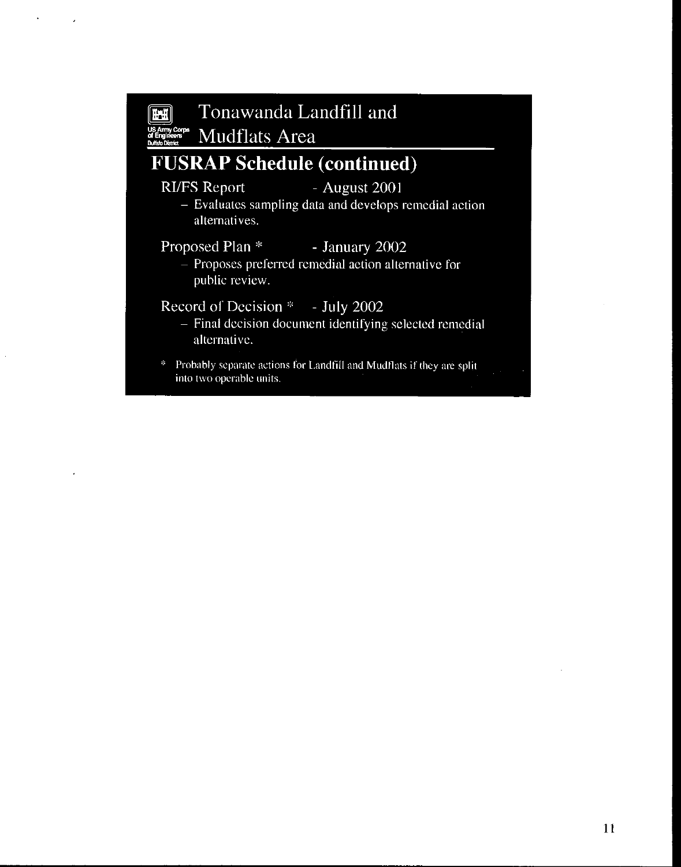#### Tonawanda Landfill and 理想 **IS Ammy Corps**<br>**MEngineers** Mudflats Area

## **FUSRAP Schedule (continued)**

#### **RI/FS Report**

#### $-$  August 2001

- Evaluates sampling data and develops remedial action alternatives.

#### Proposed Plan<sup>\*</sup> - January 2002

- Proposes preferred remedial action alternative for public review.

### Record of Decision \* - July 2002

- Final decision document identifying selected remedial alternative.
- \* Probably separate actions for Landfill and Mudflats if they are split into two operable units.